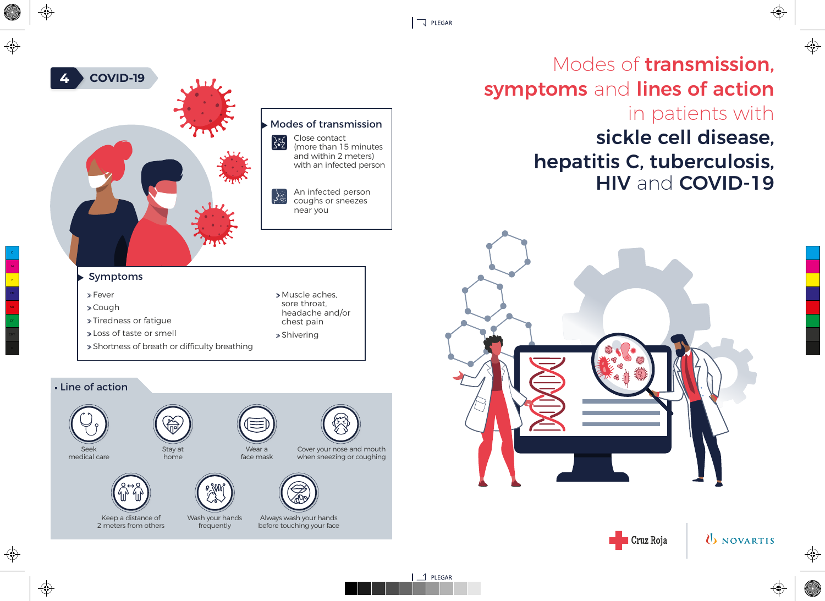$\Box$  PLEGAR

## sickle cell disease, hepatitis C, tuberculosis, HIV and COVID-19 Modes of transmission, symptoms and lines of action in patients with





**U** NOVARTIS

⊕

 $\bigoplus$ 





near you

## Symptoms

**4 COVID-19** 

| $\triangleright$ Fever                        | » Muscle aches.<br>sore throat.<br>headache and/or<br>chest pain |
|-----------------------------------------------|------------------------------------------------------------------|
| » Cough                                       |                                                                  |
| >Tiredness or fatique                         |                                                                  |
| I oss of taste or smell                       | » Shivering                                                      |
| » Shortness of breath or difficulty breathing |                                                                  |
|                                               |                                                                  |

## Line of action

M  $\langle \mathbf{y} \rangle$ 

MY



⊕

medical care



2 meters from others



Wash your hands frequently

Cover your nose and mouth when sneezing or coughing



Always wash your hands before touching your face

Wear a face mask

 $1$  1 PLEGAR